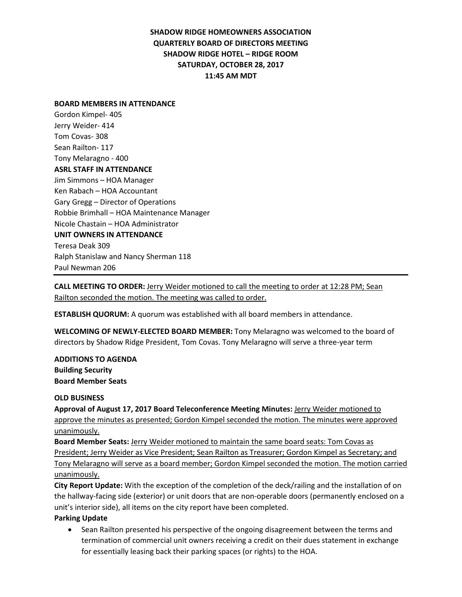## **SHADOW RIDGE HOMEOWNERS ASSOCIATION QUARTERLY BOARD OF DIRECTORS MEETING SHADOW RIDGE HOTEL – RIDGE ROOM SATURDAY, OCTOBER 28, 2017 11:45 AM MDT**

#### **BOARD MEMBERS IN ATTENDANCE**

Gordon Kimpel- 405 Jerry Weider- 414 Tom Covas- 308 Sean Railton- 117 Tony Melaragno - 400 **ASRL STAFF IN ATTENDANCE** Jim Simmons – HOA Manager Ken Rabach – HOA Accountant Gary Gregg – Director of Operations Robbie Brimhall – HOA Maintenance Manager Nicole Chastain – HOA Administrator **UNIT OWNERS IN ATTENDANCE** Teresa Deak 309 Ralph Stanislaw and Nancy Sherman 118 Paul Newman 206

**CALL MEETING TO ORDER:** Jerry Weider motioned to call the meeting to order at 12:28 PM; Sean Railton seconded the motion. The meeting was called to order.

**ESTABLISH QUORUM:** A quorum was established with all board members in attendance.

**WELCOMING OF NEWLY-ELECTED BOARD MEMBER:** Tony Melaragno was welcomed to the board of directors by Shadow Ridge President, Tom Covas. Tony Melaragno will serve a three-year term

**ADDITIONS TO AGENDA Building Security Board Member Seats** 

### **OLD BUSINESS**

**Approval of August 17, 2017 Board Teleconference Meeting Minutes:** Jerry Weider motioned to approve the minutes as presented; Gordon Kimpel seconded the motion. The minutes were approved unanimously.

**Board Member Seats:** Jerry Weider motioned to maintain the same board seats: Tom Covas as President; Jerry Weider as Vice President; Sean Railton as Treasurer; Gordon Kimpel as Secretary; and Tony Melaragno will serve as a board member; Gordon Kimpel seconded the motion. The motion carried unanimously.

**City Report Update:** With the exception of the completion of the deck/railing and the installation of on the hallway-facing side (exterior) or unit doors that are non-operable doors (permanently enclosed on a unit's interior side), all items on the city report have been completed.

### **Parking Update**

• Sean Railton presented his perspective of the ongoing disagreement between the terms and termination of commercial unit owners receiving a credit on their dues statement in exchange for essentially leasing back their parking spaces (or rights) to the HOA.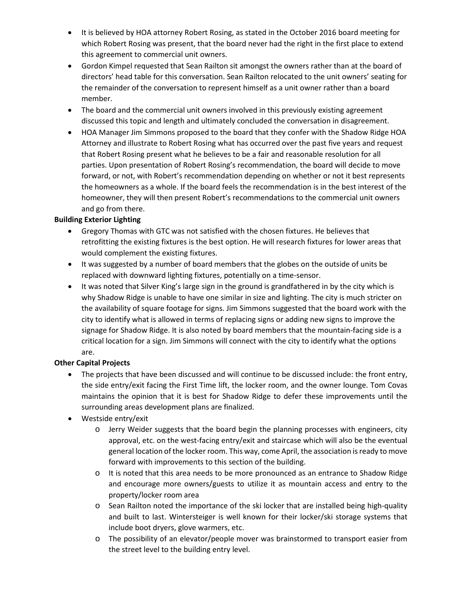- It is believed by HOA attorney Robert Rosing, as stated in the October 2016 board meeting for which Robert Rosing was present, that the board never had the right in the first place to extend this agreement to commercial unit owners.
- Gordon Kimpel requested that Sean Railton sit amongst the owners rather than at the board of directors' head table for this conversation. Sean Railton relocated to the unit owners' seating for the remainder of the conversation to represent himself as a unit owner rather than a board member.
- The board and the commercial unit owners involved in this previously existing agreement discussed this topic and length and ultimately concluded the conversation in disagreement.
- HOA Manager Jim Simmons proposed to the board that they confer with the Shadow Ridge HOA Attorney and illustrate to Robert Rosing what has occurred over the past five years and request that Robert Rosing present what he believes to be a fair and reasonable resolution for all parties. Upon presentation of Robert Rosing's recommendation, the board will decide to move forward, or not, with Robert's recommendation depending on whether or not it best represents the homeowners as a whole. If the board feels the recommendation is in the best interest of the homeowner, they will then present Robert's recommendations to the commercial unit owners and go from there.

### **Building Exterior Lighting**

- Gregory Thomas with GTC was not satisfied with the chosen fixtures. He believes that retrofitting the existing fixtures is the best option. He will research fixtures for lower areas that would complement the existing fixtures.
- It was suggested by a number of board members that the globes on the outside of units be replaced with downward lighting fixtures, potentially on a time-sensor.
- It was noted that Silver King's large sign in the ground is grandfathered in by the city which is why Shadow Ridge is unable to have one similar in size and lighting. The city is much stricter on the availability of square footage for signs. Jim Simmons suggested that the board work with the city to identify what is allowed in terms of replacing signs or adding new signs to improve the signage for Shadow Ridge. It is also noted by board members that the mountain-facing side is a critical location for a sign. Jim Simmons will connect with the city to identify what the options are.

# **Other Capital Projects**

- The projects that have been discussed and will continue to be discussed include: the front entry, the side entry/exit facing the First Time lift, the locker room, and the owner lounge. Tom Covas maintains the opinion that it is best for Shadow Ridge to defer these improvements until the surrounding areas development plans are finalized.
- Westside entry/exit
	- o Jerry Weider suggests that the board begin the planning processes with engineers, city approval, etc. on the west-facing entry/exit and staircase which will also be the eventual general location of the locker room. This way, come April, the association is ready to move forward with improvements to this section of the building.
	- $\circ$  It is noted that this area needs to be more pronounced as an entrance to Shadow Ridge and encourage more owners/guests to utilize it as mountain access and entry to the property/locker room area
	- o Sean Railton noted the importance of the ski locker that are installed being high-quality and built to last. Wintersteiger is well known for their locker/ski storage systems that include boot dryers, glove warmers, etc.
	- o The possibility of an elevator/people mover was brainstormed to transport easier from the street level to the building entry level.